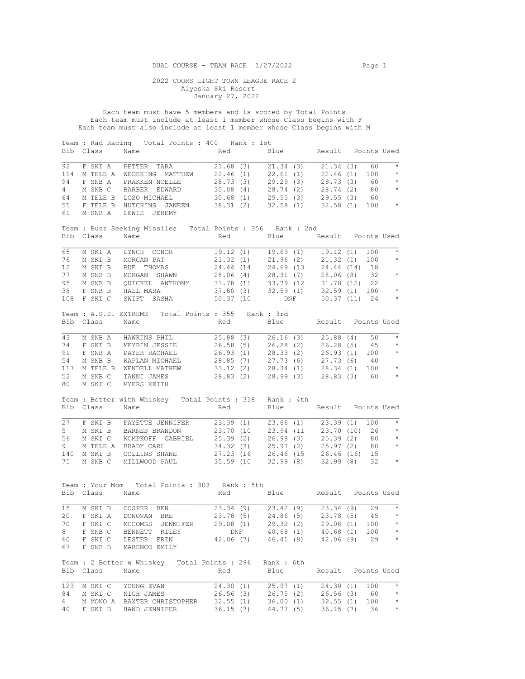2022 COORS LIGHT TOWN LEAGUE RACE 2 Alyeska Ski Resort January 27, 2022

 Each team must have 5 members and is scored by Total Points Each team must include at least 1 member whose Class begins with F Each team must also include at least 1 member whose Class begins with M

|                   |                | Team : Rad Racing Total Points : 400 Rank : 1st                                                                                                                                              |          |                       |      |                                                                                                                                  |     |                       |
|-------------------|----------------|----------------------------------------------------------------------------------------------------------------------------------------------------------------------------------------------|----------|-----------------------|------|----------------------------------------------------------------------------------------------------------------------------------|-----|-----------------------|
| Bib               | Class          | Name                                                                                                                                                                                         | Red      |                       |      | Blue Result Points Used                                                                                                          |     |                       |
|                   |                |                                                                                                                                                                                              |          |                       |      |                                                                                                                                  |     |                       |
|                   |                | $21.\overline{68}$ (3) $21.34$ (3) $21.34$ (3) 60<br>THEW $22.46$ (1) $22.61$ (1) $22.46$ (1) 100<br>92 F SKI A PETTER TARA                                                                  |          |                       |      |                                                                                                                                  |     | $\star$               |
| 114               |                | M TELE A WEDEKING MATTHEW                                                                                                                                                                    |          |                       |      |                                                                                                                                  |     | $\star$               |
| 94                | F SNB A        | PRAKKEN NOELLE                                                                                                                                                                               |          |                       |      | 28.73 (3) 29.29 (3) 28.73 (3) 60<br>30.08 (4) 28.74 (2) 28.74 (2) 80                                                             |     | $\rightarrow$         |
| 4                 | M SNB C        | BARBER EDWARD                                                                                                                                                                                |          |                       |      |                                                                                                                                  |     | $\qquad \, \star$     |
| 64                | M TELE B       | LOSO MICHAEL                                                                                                                                                                                 |          |                       |      | 30.68 (1) 29.55 (3) 29.55 (3) 60                                                                                                 |     |                       |
| 51                | F TELE B       | HUTCHINS JANEEN                                                                                                                                                                              |          |                       |      | 38.31 (2) 32.58 (1) 32.58 (1) 100                                                                                                |     | $\sim$ $\sim$         |
| 61                | M SNB A        | LEWIS JEREMY                                                                                                                                                                                 |          |                       |      |                                                                                                                                  |     |                       |
|                   |                |                                                                                                                                                                                              |          |                       |      |                                                                                                                                  |     |                       |
|                   |                | Team : Buzz Seeking Missiles Total Points : 356 Rank : 2nd                                                                                                                                   |          |                       |      |                                                                                                                                  |     |                       |
| Bib               | Class          | Name                                                                                                                                                                                         |          |                       |      | Red Blue Result Points Used                                                                                                      |     |                       |
|                   |                |                                                                                                                                                                                              |          |                       |      |                                                                                                                                  |     |                       |
| 65                | M SKI A        | LYNCH CONOR 19.12 (1) 19.69 (1) 19.12 (1) 100                                                                                                                                                |          |                       |      |                                                                                                                                  |     | $\star$               |
| 76                | M SKI B        | MORGAN PAT                                                                                                                                                                                   |          |                       |      | 21.32 (1) 21.96 (2) 21.32 (1) 100<br>24.44 (14 24.69 (13 24.44 (14) 18                                                           |     | $\star$               |
| $12 \overline{ }$ | M SKI B        | BUE THOMAS                                                                                                                                                                                   |          |                       |      |                                                                                                                                  |     |                       |
| 77                | M SNB B        |                                                                                                                                                                                              |          |                       |      |                                                                                                                                  |     | $\qquad \qquad \star$ |
| 95                | M SNB B        |                                                                                                                                                                                              |          |                       |      |                                                                                                                                  |     |                       |
| 38                | F SNB B        |                                                                                                                                                                                              |          |                       |      |                                                                                                                                  |     | $\qquad \qquad \star$ |
| 108               | F SKI C        | MORGAN SHAWN 28.06 (4) 28.31 (7) 28.06 (8) 32<br>QUICKEL ANTHONY 31.78 (11 33.79 (12 31.78 (12) 22<br>HALL MARA 37.80 (3) 32.59 (1) 32.59 (1) 100<br>SWIFT SASHA 50.37 (10 DNF 50.37 (11) 24 |          |                       |      |                                                                                                                                  |     | $\qquad \qquad \star$ |
|                   |                |                                                                                                                                                                                              |          |                       |      |                                                                                                                                  |     |                       |
|                   |                | Team: A.S.S. EXTREME Total Points: 355 Rank: 3rd                                                                                                                                             |          |                       |      |                                                                                                                                  |     |                       |
| Bib               | Class          | Name                                                                                                                                                                                         | Red      |                       |      | Blue Result Points Used                                                                                                          |     |                       |
|                   |                |                                                                                                                                                                                              |          |                       |      |                                                                                                                                  |     |                       |
| 43                |                | M SNB A HAWKINS PHIL 25.88 (3) 26.16 (3) 25.88 (4) 50<br>F SKI B MEYBIN JESSIE 26.58 (5) 26.28 (2) 26.28 (5) 45<br>F SNB A PAYER RACHAEL 26.93 (1) 28.33 (2) 26.93 (1) 100                   |          |                       |      |                                                                                                                                  |     | $\star$               |
| 74                |                |                                                                                                                                                                                              |          |                       |      |                                                                                                                                  |     | $\star$               |
| 91                |                |                                                                                                                                                                                              |          |                       |      |                                                                                                                                  |     | $\longrightarrow$     |
| 54                |                | M SNB B KAPLAN MICHAEL 28.85 (7) 27.73 (6) 27.73 (6) 40<br>M TELE B WENDELL MATHEW 33.12 (2) 28.34 (1) 28.34 (1) 100                                                                         |          |                       |      |                                                                                                                                  |     |                       |
| 117               |                |                                                                                                                                                                                              |          |                       |      |                                                                                                                                  |     | $\qquad \qquad \star$ |
| 52                |                | M SNB C IANNI JAMES                                                                                                                                                                          |          |                       |      | 28.83 (2) 28.99 (3) 28.83 (3) 60 *                                                                                               |     |                       |
| 80                | M SKI C        | MYERS KEITH                                                                                                                                                                                  |          |                       |      |                                                                                                                                  |     |                       |
|                   |                |                                                                                                                                                                                              |          |                       |      |                                                                                                                                  |     |                       |
|                   |                | Team : Better with Whiskey Total Points : 318 Rank : 4th                                                                                                                                     |          |                       |      |                                                                                                                                  |     |                       |
| Bib               | Class          | Name                                                                                                                                                                                         | Red      |                       | Blue | Result Points Used                                                                                                               |     |                       |
|                   |                |                                                                                                                                                                                              |          |                       |      |                                                                                                                                  |     |                       |
| 27                |                | F SKI B FAYETTE JENNIFER 23.39 (1) 23.66 (1) 23.39 (1) 100<br>M SKI B BARNES BRANDON 23.94 (11 23.70 (10) 26                                                                                 |          |                       |      |                                                                                                                                  |     | $\star$               |
| 5                 |                |                                                                                                                                                                                              |          |                       |      |                                                                                                                                  |     | $\qquad \, \star$     |
| 56                | M SKI C        | KOMPKOFF GABRIEL                                                                                                                                                                             |          |                       |      |                                                                                                                                  |     |                       |
| 9                 |                | M TELE A BRADY CARL                                                                                                                                                                          |          |                       |      | 25.39 (2) 26.98 (3) 25.39 (2) 80 *<br>34.32 (3) 25.97 (2) 25.97 (2) 80 *                                                         |     |                       |
| 140               | M SKI B        |                                                                                                                                                                                              |          |                       |      |                                                                                                                                  | 15  |                       |
| 75                | M SNB C        | COLLINS SHANE 27.23 (16 26.46 (15 26.46 (16)<br>MILLWOOD PAUL 35.59 (10 32.99 (8) 32.99 (8)                                                                                                  |          |                       |      |                                                                                                                                  | 32  | $\qquad \qquad \star$ |
|                   |                |                                                                                                                                                                                              |          |                       |      |                                                                                                                                  |     |                       |
|                   |                |                                                                                                                                                                                              |          |                       |      |                                                                                                                                  |     |                       |
|                   |                | Team : Your Mom  Total Points : 303  Rank : 5th                                                                                                                                              |          |                       |      |                                                                                                                                  |     |                       |
|                   | Bib Class Name |                                                                                                                                                                                              | Red      |                       |      | Blue Result Points Used                                                                                                          |     |                       |
|                   |                |                                                                                                                                                                                              |          |                       |      |                                                                                                                                  |     |                       |
| 15 <sub>1</sub>   |                | M SKI B COSPER BEN 23.34 (9) 23.42 (9) 23.34 (9) 29 *                                                                                                                                        |          |                       |      |                                                                                                                                  |     |                       |
| 20                | F SKI A        | DONOVAN BRE                                                                                                                                                                                  |          |                       |      | 23.78 (5) 24.86 (5) 23.78 (5) 45 *                                                                                               |     |                       |
|                   |                | 70 F SKI C MCCOMBS JENNIFER                                                                                                                                                                  |          |                       |      | $29.08$ (1) $29.32$ (2) $29.08$ (1) 100 *                                                                                        |     |                       |
| 8                 |                | F SNB C BENNETT RILEY DNF 40.68 (1) 40.68 (1) 1<br>F SKI C LESTER ERIN 42.06 (7) 46.41 (8) 42.06 (9)                                                                                         |          |                       |      |                                                                                                                                  |     | $100$ *               |
| 60                |                |                                                                                                                                                                                              |          |                       |      |                                                                                                                                  | 29  | $\star$               |
| 67                |                | F SNB B MARENCO EMILY                                                                                                                                                                        |          |                       |      |                                                                                                                                  |     |                       |
|                   |                |                                                                                                                                                                                              |          |                       |      |                                                                                                                                  |     |                       |
|                   |                | Team : 2 Better w Whiskey Total Points : 296 Rank : 6th                                                                                                                                      |          |                       |      |                                                                                                                                  |     |                       |
|                   | Bib Class Name |                                                                                                                                                                                              |          | Red Blue              |      | Result Points Used                                                                                                               |     |                       |
|                   |                |                                                                                                                                                                                              |          |                       |      |                                                                                                                                  |     |                       |
|                   |                |                                                                                                                                                                                              |          |                       |      |                                                                                                                                  |     |                       |
| 123               | M SKI C        | YOUNG EVAN                                                                                                                                                                                   |          | 24.30 (1)             |      | 25.97 (1) 24.30 (1)                                                                                                              | 100 | $\star$               |
| 84                |                |                                                                                                                                                                                              |          |                       |      |                                                                                                                                  | 60  | $\star$               |
| 6                 |                | M SKI C NIGH JAMES<br>M MONO A BAXTER CHRISTOPHER                                                                                                                                            |          |                       |      | 32.55 (1) 100                                                                                                                    |     | $\star$               |
| 40                |                | F SKI B HAND JENNIFER                                                                                                                                                                        | 32.55(1) | $36.15(7)$ $44.77(5)$ |      | $\begin{array}{cccc} 26.56 & (3) & 26.75 & (2) & 26.56 & (3) \\ 32.55 & (1) & 36.00 & (1) & 32.55 & (1) \end{array}$<br>36.15(7) | 36  | $^\star$              |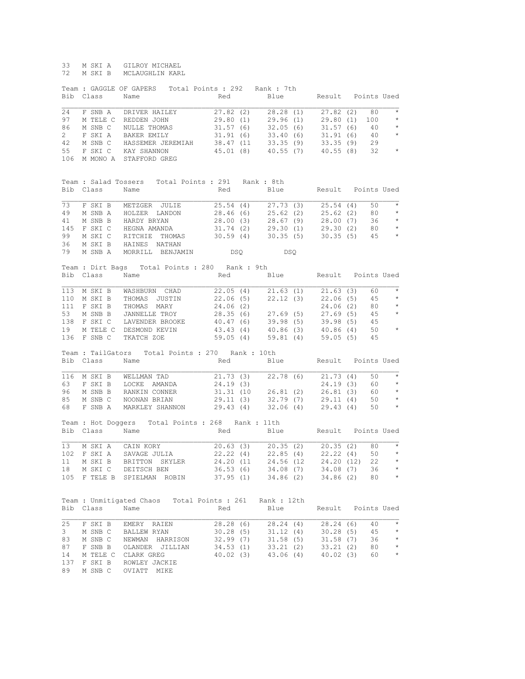33 M SKI A GILROY MICHAEL 72 M SKI B MCLAUGHLIN KARL

|                |                | Team : GAGGLE OF GAPERS  Total Points : 292  Rank : 7th                                                                                                                                                                              |           |                               |          |                    |            |
|----------------|----------------|--------------------------------------------------------------------------------------------------------------------------------------------------------------------------------------------------------------------------------------|-----------|-------------------------------|----------|--------------------|------------|
|                | Bib Class Name |                                                                                                                                                                                                                                      |           | Red Blue Result Points Used   |          |                    |            |
|                |                |                                                                                                                                                                                                                                      |           |                               |          |                    |            |
| 24             |                |                                                                                                                                                                                                                                      |           |                               |          |                    |            |
| 97             |                |                                                                                                                                                                                                                                      |           |                               |          |                    |            |
| 86             |                |                                                                                                                                                                                                                                      |           |                               |          |                    |            |
| $\overline{2}$ |                |                                                                                                                                                                                                                                      |           |                               |          |                    |            |
| 42             |                |                                                                                                                                                                                                                                      |           |                               |          |                    |            |
| 55             |                | F SNB A DRIVER HAILEY 27.82 (2) 28.28 (1) 27.82 (2) 80 *<br>M TELE C REDDEN JOHN 29.80 (1) 29.96 (1) 29.80 (1) 100 *<br>M SNB C NULLE THOMAS 31.57 (6) 32.05 (6) 31.57 (6) 40 *<br>F SKI A BAKER EMILY 31.91 (6) 33.40 (6) 31.91 (6) |           |                               |          |                    |            |
| 106            |                | M MONO A STAFFORD GREG                                                                                                                                                                                                               |           |                               |          |                    |            |
|                |                | Team : Salad Tossers Total Points : 291 Rank : 8th                                                                                                                                                                                   |           |                               |          |                    |            |
|                | Bib Class Name |                                                                                                                                                                                                                                      | Red       | Blue Result Points Used       |          |                    |            |
| 73             |                |                                                                                                                                                                                                                                      |           |                               |          |                    |            |
|                | 49 M SNB A     |                                                                                                                                                                                                                                      |           |                               |          |                    |            |
| 41             |                |                                                                                                                                                                                                                                      |           |                               |          |                    |            |
| 145            |                |                                                                                                                                                                                                                                      |           |                               |          |                    |            |
| 99             |                |                                                                                                                                                                                                                                      |           |                               |          |                    |            |
| 36             |                | M SKI B HAINES NATHAN                                                                                                                                                                                                                |           |                               |          |                    |            |
| 79             | M SNB A        | MORRILL BENJAMIN DSQ DSQ                                                                                                                                                                                                             |           |                               |          |                    |            |
|                |                | Team : Dirt Bags Total Points : 280 Rank : 9th                                                                                                                                                                                       |           |                               |          |                    |            |
|                | Bib Class Name |                                                                                                                                                                                                                                      | Red       | Blue Result Points Used       |          |                    |            |
| 113            |                |                                                                                                                                                                                                                                      |           |                               |          |                    |            |
| 110            |                | M SKI B WASHBURN CHAD 22.05 (4) 21.63 (1) 21.63 (3) 60 *<br>M SKI B THOMAS JUSTIN 22.06 (5) 22.12 (3) 22.06 (5) 45 *                                                                                                                 |           |                               |          |                    |            |
|                |                | 111 F SKI B THOMAS MARY<br>53 M SNB B JANNELLE TROY<br>138 F SKI C LAVENDER BROOKE<br>139 M TELE C DESMOND KEVIN<br>143.43 (4) 40.86 (3) 40.86 (4) 50                                                                                |           |                               |          |                    |            |
|                |                |                                                                                                                                                                                                                                      |           |                               |          |                    |            |
|                |                |                                                                                                                                                                                                                                      |           |                               |          |                    |            |
|                |                |                                                                                                                                                                                                                                      |           |                               |          |                    |            |
|                |                | 136 F SNB C TKATCH ZOE 59.05 (4) 59.81 (4) 59.05 (5) 45                                                                                                                                                                              |           |                               |          |                    |            |
|                |                | Team : TailGators  Total Points : 270  Rank : 10th                                                                                                                                                                                   |           |                               |          |                    |            |
|                | Bib Class Name |                                                                                                                                                                                                                                      |           | Red Blue Result Points Used   |          |                    |            |
|                |                |                                                                                                                                                                                                                                      |           |                               |          |                    |            |
|                |                | 116 M SKI B WELLMAN TAD 21.73 (3) 22.78 (6) 21.73 (4) 50 *                                                                                                                                                                           |           |                               |          |                    |            |
| 63             |                |                                                                                                                                                                                                                                      |           |                               |          |                    |            |
| 96             |                |                                                                                                                                                                                                                                      |           |                               |          |                    |            |
| 85             |                |                                                                                                                                                                                                                                      |           |                               |          |                    |            |
| 68             |                | F SKI B LOCKE AMANDA<br>M SNB B RANKIN CONNER<br>M SNB C NOONAN BRIAN<br>F SNB A MARKLEY SHANNON<br>P SNB A MARKLEY SHANNON<br>29.11 (3) 32.79 (7) 29.11 (4) 50 *<br>F SNB A MARKLEY SHANNON<br>29.43 (4) 32.06 (4) 29.43 (4) 50 *   |           |                               |          |                    |            |
|                |                | Team : Hot Doggers  Total Points : 268  Rank : 11th                                                                                                                                                                                  |           |                               |          |                    |            |
|                | Bib Class Name |                                                                                                                                                                                                                                      |           | Red Blue Result Points Used   |          |                    |            |
|                |                | 13 M SKI A CAIN KORY<br>102 F SKI A SAVAGE JULIA 22.22 (4) 22.85 (4) 22.22 (4) 50 *                                                                                                                                                  |           |                               |          |                    |            |
|                |                |                                                                                                                                                                                                                                      |           |                               |          |                    |            |
| 11             |                | M SKI B BRITTON SKYLER 24.20 (11 24.56 (12 24.20 (12) 22 *                                                                                                                                                                           |           |                               |          |                    |            |
|                |                | 18 M SKI C DEITSCH BEN 36.53 (6) 34.08 (7) 34.08 (7) 36 *                                                                                                                                                                            |           |                               |          |                    |            |
|                |                | 105 F TELE B SPIELMAN ROBIN                                                                                                                                                                                                          |           | 37.95 (1) 34.86 (2) 34.86 (2) |          | 80                 | $^{\star}$ |
|                |                |                                                                                                                                                                                                                                      |           |                               |          |                    |            |
|                |                | Team : Unmitigated Chaos Total Points : 261                                                                                                                                                                                          |           | Rank : 12th                   |          |                    |            |
| Bib            | Class          | Name                                                                                                                                                                                                                                 | Red       | Blue                          |          | Result Points Used |            |
| 25             | F SKI B        | EMERY RAIEN                                                                                                                                                                                                                          | 28.28 (6) | 28.24(4)                      | 28.24(6) | 40                 | $\star$    |
| 3              | M SNB C        | BALLEW RYAN                                                                                                                                                                                                                          | 30.28(5)  | 31.12(4)                      | 30.28(5) | 45                 | $^\star$   |
| 83             | M SNB C        | NEWMAN HARRISON                                                                                                                                                                                                                      | 32.99(7)  | 31.58(5)                      | 31.58(7) | 36                 | $^\star$   |
| 87             | F SNB B        | OLANDER JILLIAN                                                                                                                                                                                                                      | 34.53(1)  | 33.21(2)                      | 33.21(2) | 80                 | $\star$    |
| 14             |                | M TELE C CLARK GREG                                                                                                                                                                                                                  | 40.02(3)  | 43.06(4)                      | 40.02(3) | 60                 | $\star$    |
| 137            | F SKI B        | ROWLEY JACKIE                                                                                                                                                                                                                        |           |                               |          |                    |            |
|                |                |                                                                                                                                                                                                                                      |           |                               |          |                    |            |

89 M SNB C OVIATT MIKE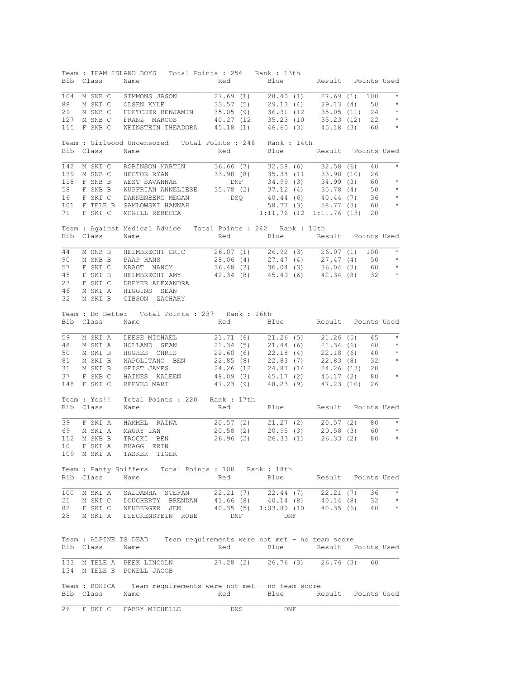Team : TEAM ISLAND BOYS Total Points : 256 Rank : 13th Bib Class Name **Red** Blue Result Points Used 104 M SNB C SIMMONS JASON 27.69 (1) 28.40 (1) 27.69 (1) 100<br>
88 M SKI C OLSEN KYLE 33.57 (5) 29.13 (4) 29.13 (4) 50<br>
29 M SNB C FLETCHER BENJAMIN 35.05 (9) 36.31 (12 35.05 (11) 24 88 M SKI C OLSEN KYLE 33.57 (5) 29.13 (4) 29.13 (4) 50 \* 29 M SNB C FLETCHER BENJAMIN 35.05 (9) 36.31 (12 35.05 (11) 24 \* 127 M SNB C FRANZ MARCOS 40.27 (12 35.23 (10 35.23 (12) 22 \* 115 F SNB C WEINSTEIN THEADORA 45.18 (1) 46.60 (3) 45.18 (3) 60 \* Team : Girlwood Uncensored Total Points : 246 Rank : 14th Bib Class Name Red Blue Result Points Used 142 M SKI C ROBINSON MARTIN 36.66 (7) 32.58 (6) 32.58 (6) 40 \* 139 M SNB C HECTOR RYAN 33.98 (8) 35.38 (11 33.98 (10) 26 118 F SNB B WEST SAVANNAH DNF 34.99 (3) 34.99 (3) 60 \* 58 F SNB B KUPFRIAN ANNELIESE 35.78 (2) 37.12 (4) 35.78 (4) 50 \* 16 F SKI C DANNENBERG MEGAN DSQ 40.44 (6) 40.44 (7) 36 \*<br>16 F SKI C DANNENBERG MEGAN DSQ 40.44 (6) 40.44 (7) 36 \* 101 F TELE B SAMLOWSKI HANNAH 58.77 (3) 58.77 (3) 60 \*<br>11 F SKI C MCGILL REBECCA 1:11.76 (12 1:11.76 (13) 20 71 F SKI C MCGILL REBECCA Team : Against Medical Advice Total Points : 242 Rank : 15th Bib Class Name Red Blue Result Points Used 44 M SNB B HELMBRECHT ERIC 26.07 (1) 26.92 (3) 26.07 (1) 100 \* 90 M SNB B PAAP HANS 28.06 (4) 27.47 (4) 27.47 (4) 50 \* 57 F SKI C KRAGT NANCY 36.48 (3) 36.04 (3) 36.04 (3) 60 \* 45 F SKI B HELMBRECHT AMY 42.34 (8) 45.49 (6) 42.34 (8) 32 \* كالمحمد التحميد E SKI B HELMBRECHT AMY<br>23 F SKI C DREYER ALEXANDRA 46 M SKI A HIGGINS SEAN 32 M SKI B GIBSON ZACHARY Team : Do Better Total Points : 237 Rank : 16th Bib Class Name Red Blue Result Points Used 59 M SKI A LEESE MICHAEL 21.71 (6) 21.26 (5) 21.26 (5) 45 \* 48 M SKI A HOLLAND SEAN 21.34 (5) 21.44 (6) 21.34 (6) 40 \* 50 M SKI B HUGHES CHRIS 22.60 (6) 22.18 (4) 22.18 (6) 40 \* 81 M SKI B NAPOLITANO BEN 22.85 (8) 22.83 (7) 22.83 (8) 32 \* 31 M SKI B HUGHES CHRIS 22.80 (0) 22.10 (4) 22.80 (0) 32<br>31 M SKI B GEIST JAMES 24.26 (12 24.87 (14 24.26 (13) 20<br>37 F SNB C HAINES KALEEN 48.09 (3) 45.17 (2) 45.17 (2) 80<br>37 F SNB C HAINES KALEEN 48.09 (3) 45.17 (2) 45.17 37 F SNB C HAINES KALEEN 48.09 (3) 45.17 (2) 45.17 (2) 80 \* 148 F SKI C REEVES MARI 47.23 (9) 48.23 (9) 47.23 (10) 26 Team : Yes!! Total Points : 220 Rank : 17th Bib Class Name Red Blue Result Points Used  $\begin{array}{ccccccccc} 39 & \text{F} & \text{SKI} & \text{A} & \text{HAMMEL} & \text{RAINA} & & 20.57 & (2) & 21.27 & (2) & 20.57 & (2) & 80 & \star \\ 69 & \text{M} & \text{SKI} & \text{A} & \text{MAURY} & \text{IAN} & & 20.58 & (2) & 20.95 & (3) & 20.58 & (3) & 60 & \star \\ 112 & \text{M} & \text{SNB} & \text{B} & \text{TROCKI} & \text{BEN} & & 26.96 & (2) &$ 69 M SKI A MAURY IAN 20.58 (2) 20.95 (3) 20.58 (3) 60 \* 112 M SNB B TROCKI BEN 26.96 (2) 26.33 (1) 26.33 (2) 80 \* 10 F SKI A BRAGG ERIN 109 M SKI A TASKER TIGER Team : Panty Sniffers Total Points : 108 Rank : 18th Bib Class Name Red Blue Result Points Used 100 M SKI A SALDANHA STEFAN 22.21 (7) 22.44 (7) 22.21 (7) 36 \* 21 M SKI C DOUGHERTY BRENDAN 41.66 (8) 40.14 (8) 40.14 (8) 32 \*  $40.35$  (5) 1:03.89 (10  $40.35$  (6) 40 \* 22 F SKI C NEUBERGER JEN 40.35 (5) 1:03.89 (1<br>28 M SKI A FLECKENSTEIN ROBE DNF DNF Team : ALPINE IS DEAD Team requirements were not met - no team score Bib Class Name Red Blue Result Points Used 133 M TELE A PEEK LINCOLN 27.28 (2) 26.76 (3) 26.76 (3) 60 134 M TELE B POWELL JACOB Team : BOHICA Team requirements were not met - no team score Bib Class Name Red Blue Result Points Used 26 F SKI C FABRY MICHELLE DNS DNF